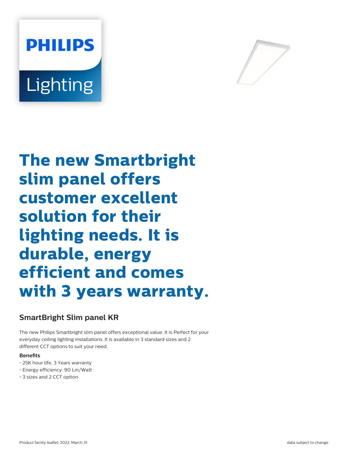



**The new Smartbright slim panel offers customer excellent solution for their lighting needs. It is durable, energy efficient and comes with 3 years warranty.**

# **SmartBright Slim panel KR**

The new Philips Smartbright slim panel offers exceptional value. It is Perfect for your everyday ceiling lighting installations. It is available in 3 standard sizes and 2 different CCT options to suit your need.

### **Benefits**

- 25K hour life, 3 Years warranty
- Energy efficiency: 90 Lm/Watt
- 3 sizes and 2 CCT option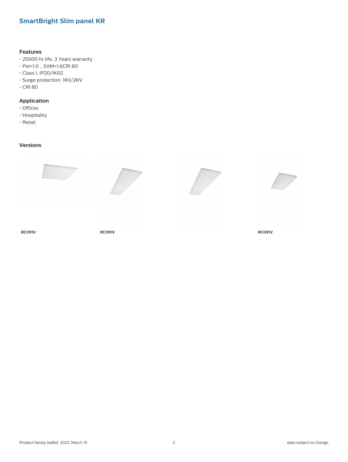# **SmartBright Slim panel KR**

#### **Features**

- 25000 hr life, 3 Years warranty
- $\cdot$  Pst<1.0, SVM<1.6CRI 80
- Class I, IP20/IK02
- Surge protection: 1KV/2KV
- CRI 80

### **Application**

- Offices
- Hospitality
- Retail

### **Versions**



**RC091V RC091V RC091V**